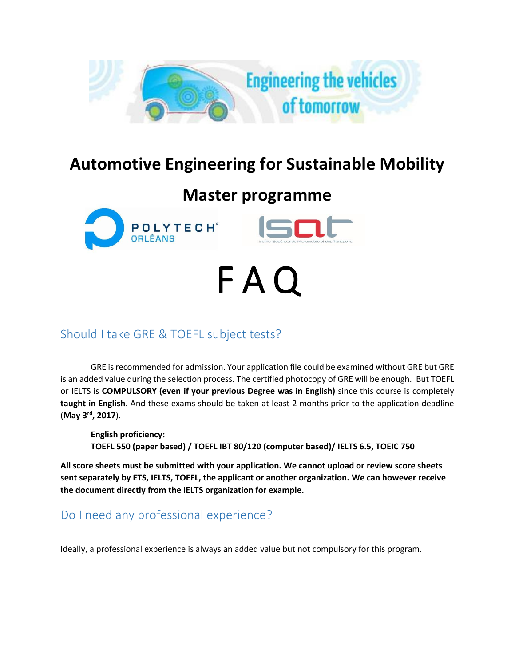

# **Automotive Engineering for Sustainable Mobility**

# **Master programme**

F A Q





## Should I take GRE & TOEFL subject tests?

GRE is recommended for admission. Your application file could be examined without GRE but GRE is an added value during the selection process. The certified photocopy of GRE will be enough. But TOEFL or IELTS is **COMPULSORY (even if your previous Degree was in English)** since this course is completely **taught in English**. And these exams should be taken at least 2 months prior to the application deadline (**May 3rd, 2017**).

**English proficiency: TOEFL 550 (paper based) / TOEFL IBT 80/120 (computer based)/ IELTS 6.5, TOEIC 750**

**All score sheets must be submitted with your application. We cannot upload or review score sheets sent separately by ETS, IELTS, TOEFL, the applicant or another organization. We can however receive the document directly from the IELTS organization for example.**

#### Do I need any professional experience?

Ideally, a professional experience is always an added value but not compulsory for this program.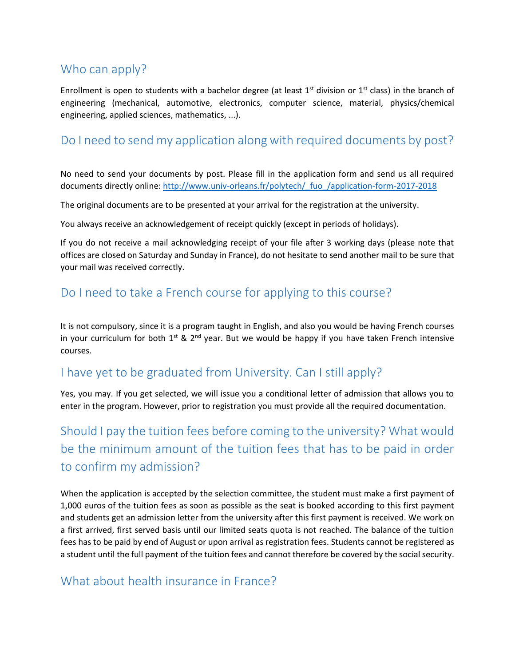### Who can apply?

Enrollment is open to students with a bachelor degree (at least  $1<sup>st</sup>$  division or  $1<sup>st</sup>$  class) in the branch of engineering (mechanical, automotive, electronics, computer science, material, physics/chemical engineering, applied sciences, mathematics, ...).

#### Do I need to send my application along with required documents by post?

No need to send your documents by post. Please fill in the application form and send us all required documents directly online: [http://www.univ-orleans.fr/polytech/\\_fuo\\_/application-form-2017-2018](http://www.univ-orleans.fr/polytech/_fuo_/application-form-2017-2018)

The original documents are to be presented at your arrival for the registration at the university.

You always receive an acknowledgement of receipt quickly (except in periods of holidays).

If you do not receive a mail acknowledging receipt of your file after 3 working days (please note that offices are closed on Saturday and Sunday in France), do not hesitate to send another mail to be sure that your mail was received correctly.

### Do I need to take a French course for applying to this course?

It is not compulsory, since it is a program taught in English, and also you would be having French courses in your curriculum for both  $1^{st}$  &  $2^{nd}$  year. But we would be happy if you have taken French intensive courses.

#### I have yet to be graduated from University. Can I still apply?

Yes, you may. If you get selected, we will issue you a conditional letter of admission that allows you to enter in the program. However, prior to registration you must provide all the required documentation.

## Should I pay the tuition fees before coming to the university? What would be the minimum amount of the tuition fees that has to be paid in order to confirm my admission?

When the application is accepted by the selection committee, the student must make a first payment of 1,000 euros of the tuition fees as soon as possible as the seat is booked according to this first payment and students get an admission letter from the university after this first payment is received. We work on a first arrived, first served basis until our limited seats quota is not reached. The balance of the tuition fees has to be paid by end of August or upon arrival as registration fees. Students cannot be registered as a student until the full payment of the tuition fees and cannot therefore be covered by the social security.

#### What about health insurance in France?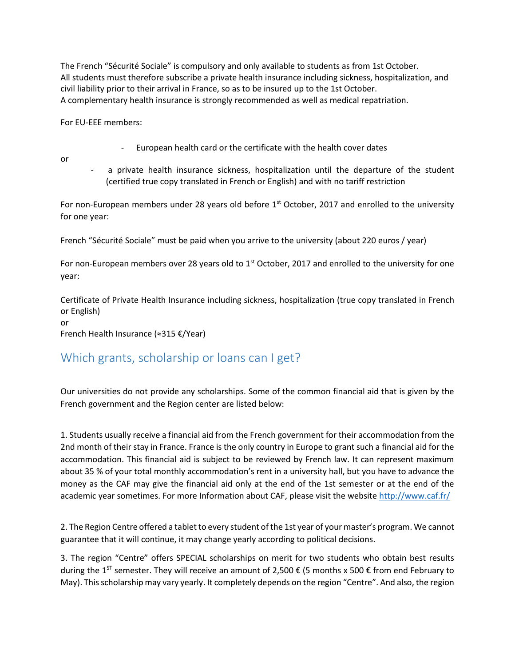The French "Sécurité Sociale" is compulsory and only available to students as from 1st October. All students must therefore subscribe a private health insurance including sickness, hospitalization, and civil liability prior to their arrival in France, so as to be insured up to the 1st October. A complementary health insurance is strongly recommended as well as medical repatriation.

For EU-EEE members:

- European health card or the certificate with the health cover dates
- or
- a private health insurance sickness, hospitalization until the departure of the student (certified true copy translated in French or English) and with no tariff restriction

For non-European members under 28 years old before  $1<sup>st</sup>$  October, 2017 and enrolled to the university for one year:

French "Sécurité Sociale" must be paid when you arrive to the university (about 220 euros / year)

For non-European members over 28 years old to  $1<sup>st</sup>$  October, 2017 and enrolled to the university for one year:

Certificate of Private Health Insurance including sickness, hospitalization (true copy translated in French or English)

or

French Health Insurance (≈315 €/Year)

### Which grants, scholarship or loans can I get?

Our universities do not provide any scholarships. Some of the common financial aid that is given by the French government and the Region center are listed below:

1. Students usually receive a financial aid from the French government for their accommodation from the 2nd month of their stay in France. France is the only country in Europe to grant such a financial aid for the accommodation. This financial aid is subject to be reviewed by French law. It can represent maximum about 35 % of your total monthly accommodation's rent in a university hall, but you have to advance the money as the CAF may give the financial aid only at the end of the 1st semester or at the end of the academic year sometimes. For more Information about CAF, please visit the website<http://www.caf.fr/>

2. The Region Centre offered a tablet to every student of the 1st year of your master's program. We cannot guarantee that it will continue, it may change yearly according to political decisions.

3. The region "Centre" offers SPECIAL scholarships on merit for two students who obtain best results during the 1<sup>st</sup> semester. They will receive an amount of 2,500 € (5 months x 500 € from end February to May). This scholarship may vary yearly. It completely depends on the region "Centre". And also, the region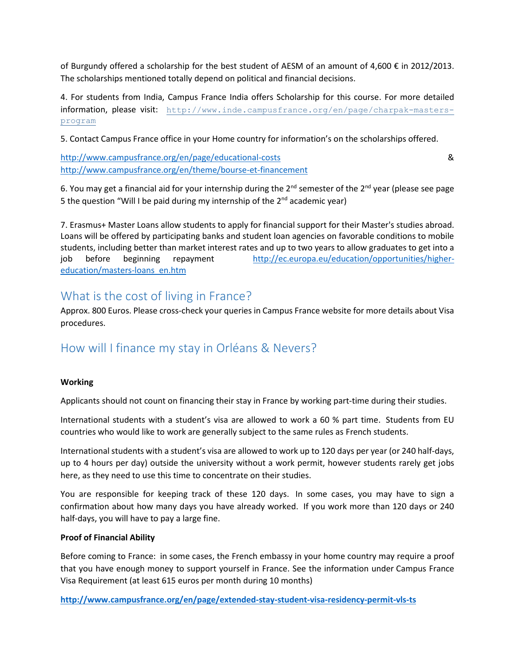of Burgundy offered a scholarship for the best student of AESM of an amount of 4,600  $\epsilon$  in 2012/2013. The scholarships mentioned totally depend on political and financial decisions.

4. For students from India, Campus France India offers Scholarship for this course. For more detailed information, please visit: [http://www.inde.campusfrance.org/en/page/charpak-masters](http://www.inde.campusfrance.org/en/page/charpak-masters-program)[program](http://www.inde.campusfrance.org/en/page/charpak-masters-program)

5. Contact Campus France office in your Home country for information's on the scholarships offered.

<http://www.campusfrance.org/en/page/educational-costs> & <http://www.campusfrance.org/en/theme/bourse-et-financement>

6. You may get a financial aid for your internship during the  $2^{nd}$  semester of the  $2^{nd}$  year (please see page 5 the question "Will I be paid during my internship of the  $2^{nd}$  academic year)

7. Erasmus+ Master Loans allow students to apply for financial support for their Master's studies abroad. Loans will be offered by participating banks and student loan agencies on favorable conditions to mobile students, including better than market interest rates and up to two years to allow graduates to get into a job before beginning repayment [http://ec.europa.eu/education/opportunities/higher](http://ec.europa.eu/education/opportunities/higher-education/masters-loans_en.htm)[education/masters-loans\\_en.htm](http://ec.europa.eu/education/opportunities/higher-education/masters-loans_en.htm)

#### What is the cost of living in France?

Approx. 800 Euros. Please cross-check your queries in Campus France website for more details about Visa procedures.

#### How will I finance my stay in Orléans & Nevers?

#### **Working**

Applicants should not count on financing their stay in France by working part-time during their studies.

International students with a student's visa are allowed to work a 60 % part time. Students from EU countries who would like to work are generally subject to the same rules as French students.

International students with a student's visa are allowed to work up to 120 days per year (or 240 half-days, up to 4 hours per day) outside the university without a work permit, however students rarely get jobs here, as they need to use this time to concentrate on their studies.

You are responsible for keeping track of these 120 days. In some cases, you may have to sign a confirmation about how many days you have already worked. If you work more than 120 days or 240 half-days, you will have to pay a large fine.

#### **Proof of Financial Ability**

Before coming to France: in some cases, the French embassy in your home country may require a proof that you have enough money to support yourself in France. See the information under Campus France Visa Requirement (at least 615 euros per month during 10 months)

**<http://www.campusfrance.org/en/page/extended-stay-student-visa-residency-permit-vls-ts>**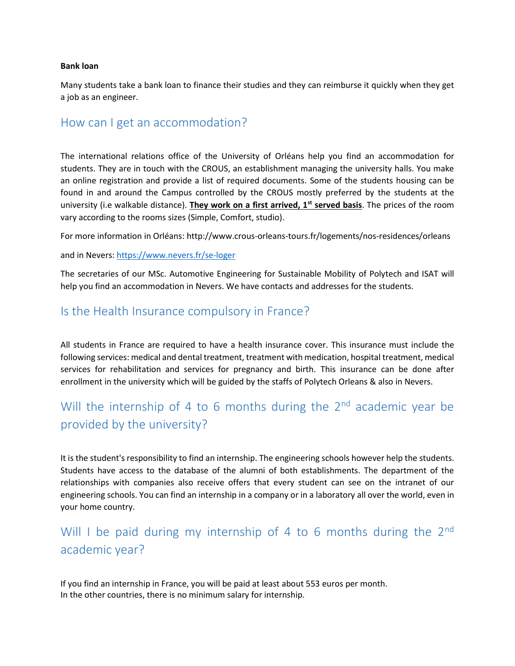#### **Bank loan**

Many students take a bank loan to finance their studies and they can reimburse it quickly when they get a job as an engineer.

#### How can I get an accommodation?

The international relations office of the University of Orléans help you find an accommodation for students. They are in touch with the CROUS, an establishment managing the university halls. You make an online registration and provide a list of required documents. Some of the students housing can be found in and around the Campus controlled by the CROUS mostly preferred by the students at the university (i.e walkable distance). **They work on a first arrived, 1st served basis**. The prices of the room vary according to the rooms sizes (Simple, Comfort, studio).

For more information in Orléans: http://www.crous-orleans-tours.fr/logements/nos-residences/orleans

and in Nevers: <https://www.nevers.fr/se-loger>

The secretaries of our MSc. Automotive Engineering for Sustainable Mobility of Polytech and ISAT will help you find an accommodation in Nevers. We have contacts and addresses for the students.

#### Is the Health Insurance compulsory in France?

All students in France are required to have a health insurance cover. This insurance must include the following services: medical and dental treatment, treatment with medication, hospital treatment, medical services for rehabilitation and services for pregnancy and birth. This insurance can be done after enrollment in the university which will be guided by the staffs of Polytech Orleans & also in Nevers.

## Will the internship of 4 to 6 months during the  $2<sup>nd</sup>$  academic year be provided by the university?

It is the student's responsibility to find an internship. The engineering schools however help the students. Students have access to the database of the alumni of both establishments. The department of the relationships with companies also receive offers that every student can see on the intranet of our engineering schools. You can find an internship in a company or in a laboratory all over the world, even in your home country.

## Will I be paid during my internship of 4 to 6 months during the  $2^{nd}$ academic year?

If you find an internship in France, you will be paid at least about 553 euros per month. In the other countries, there is no minimum salary for internship.